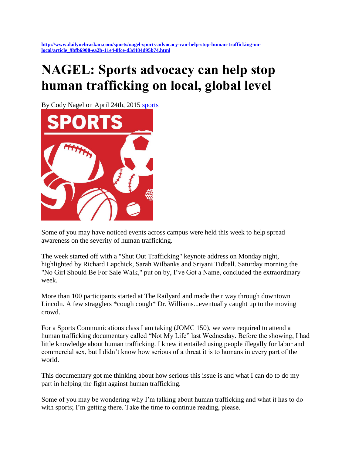## **NAGEL: Sports advocacy can help stop human trafficking on local, global level**

By Cody Nagel on April 24th, 2015 [sports](http://www.dailynebraskan.com/sports/)



Some of you may have noticed events across campus were held this week to help spread awareness on the severity of human trafficking.

The week started off with a "Shut Out Trafficking" keynote address on Monday night, highlighted by Richard Lapchick, Sarah Wilbanks and Sriyani Tidball. Saturday morning the "No Girl Should Be For Sale Walk," put on by, I've Got a Name, concluded the extraordinary week.

More than 100 participants started at The Railyard and made their way through downtown Lincoln. A few stragglers \*cough cough\* Dr. Williams...eventually caught up to the moving crowd.

For a Sports Communications class I am taking (JOMC 150), we were required to attend a human trafficking documentary called "Not My Life" last Wednesday. Before the showing, I had little knowledge about human trafficking. I knew it entailed using people illegally for labor and commercial sex, but I didn't know how serious of a threat it is to humans in every part of the world.

This documentary got me thinking about how serious this issue is and what I can do to do my part in helping the fight against human trafficking.

Some of you may be wondering why I'm talking about human trafficking and what it has to do with sports; I'm getting there. Take the time to continue reading, please.